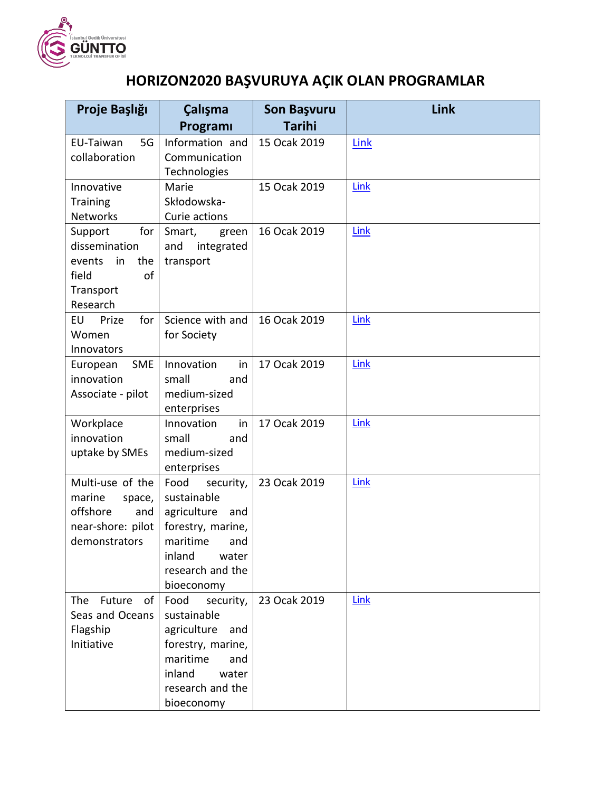

## **HORIZON2020 BAŞVURUYA AÇIK OLAN PROGRAMLAR**

| Proje Başlığı                                                                                  | Çalışma                                                                                                                                             | Son Başvuru   | Link |
|------------------------------------------------------------------------------------------------|-----------------------------------------------------------------------------------------------------------------------------------------------------|---------------|------|
|                                                                                                | Programi                                                                                                                                            | <b>Tarihi</b> |      |
| EU-Taiwan<br>5G<br>collaboration                                                               | Information and<br>Communication<br>Technologies                                                                                                    | 15 Ocak 2019  | Link |
| Innovative<br><b>Training</b><br><b>Networks</b>                                               | Marie<br>Skłodowska-<br>Curie actions                                                                                                               | 15 Ocak 2019  | Link |
| Support<br>for<br>dissemination<br>the<br>in<br>events<br>field<br>οf<br>Transport<br>Research | Smart,<br>green<br>integrated<br>and<br>transport                                                                                                   | 16 Ocak 2019  | Link |
| for<br>EU<br>Prize<br>Women<br>Innovators                                                      | Science with and<br>for Society                                                                                                                     | 16 Ocak 2019  | Link |
| <b>SME</b><br>European<br>innovation<br>Associate - pilot                                      | Innovation<br>in<br>small<br>and<br>medium-sized<br>enterprises                                                                                     | 17 Ocak 2019  | Link |
| Workplace<br>innovation<br>uptake by SMEs                                                      | Innovation<br>in<br>small<br>and<br>medium-sized<br>enterprises                                                                                     | 17 Ocak 2019  | Link |
| Multi-use of the<br>marine<br>space,<br>offshore<br>and<br>near-shore: pilot<br>demonstrators  | Food<br>security,<br>sustainable<br>agriculture<br>and<br>forestry, marine,<br>maritime<br>and<br>inland<br>water<br>research and the<br>bioeconomy | 23 Ocak 2019  | Link |
| The<br>Future<br>of<br>Seas and Oceans<br>Flagship<br>Initiative                               | Food<br>security,<br>sustainable<br>agriculture<br>and<br>forestry, marine,<br>maritime<br>and<br>inland<br>water<br>research and the<br>bioeconomy | 23 Ocak 2019  | Link |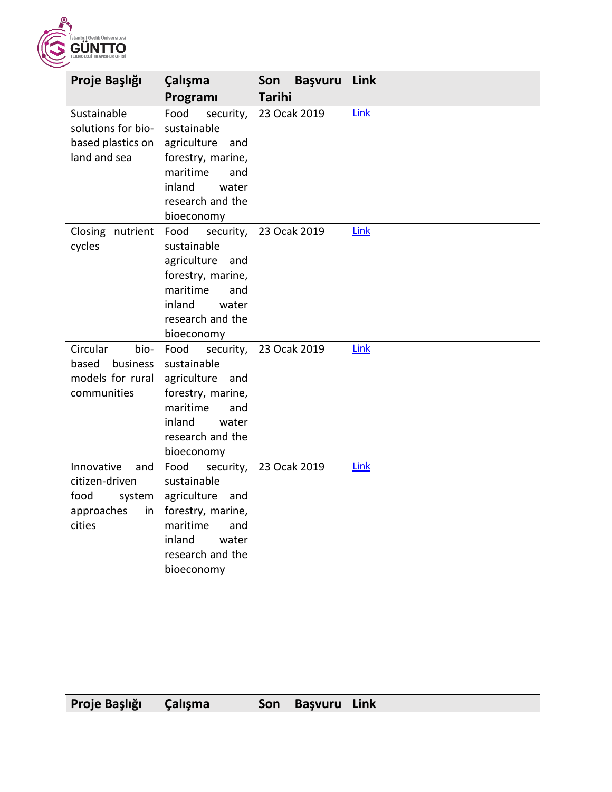

| Proje Başlığı                                                                         | Çalışma                                                                                                                                             | Son<br><b>Başvuru</b> | Link |
|---------------------------------------------------------------------------------------|-----------------------------------------------------------------------------------------------------------------------------------------------------|-----------------------|------|
|                                                                                       | Programi                                                                                                                                            | <b>Tarihi</b>         |      |
| Sustainable<br>solutions for bio-<br>based plastics on<br>land and sea                | Food<br>security,<br>sustainable<br>agriculture<br>and<br>forestry, marine,<br>maritime<br>and<br>inland<br>water<br>research and the<br>bioeconomy | 23 Ocak 2019          | Link |
| Closing nutrient<br>cycles                                                            | Food<br>security,<br>sustainable<br>agriculture<br>and<br>forestry, marine,<br>maritime<br>and<br>inland<br>water<br>research and the<br>bioeconomy | 23 Ocak 2019          | Link |
| Circular<br>bio-<br>based<br>business<br>models for rural<br>communities              | Food<br>security,<br>sustainable<br>agriculture<br>and<br>forestry, marine,<br>maritime<br>and<br>inland<br>water<br>research and the<br>bioeconomy | 23 Ocak 2019          | Link |
| Innovative<br>and<br>citizen-driven<br>food<br>system  <br>approaches<br>in<br>cities | Food<br>security,<br>sustainable<br>agriculture<br>and<br>forestry, marine,<br>maritime<br>and<br>inland<br>water<br>research and the<br>bioeconomy | 23 Ocak 2019          | Link |
| Proje Başlığı                                                                         | Çalışma                                                                                                                                             | Son<br><b>Başvuru</b> | Link |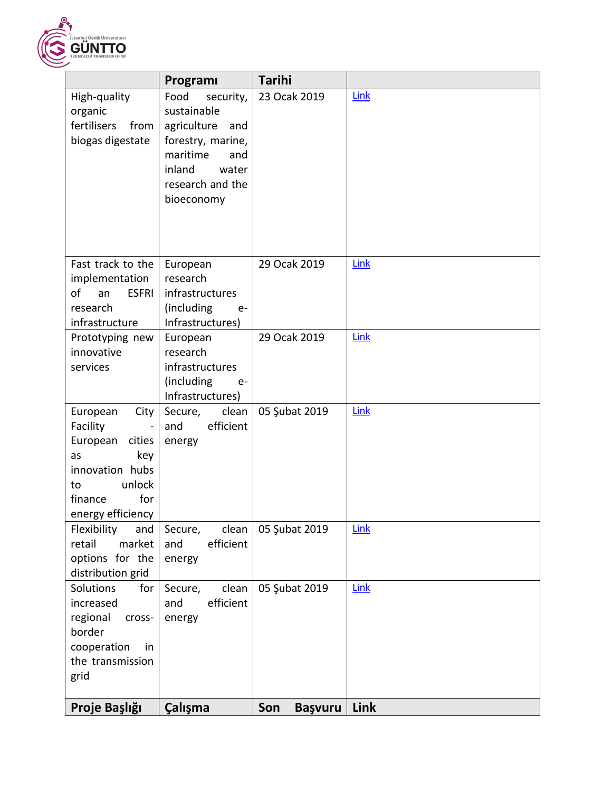

|                                                                                                                                           | Programı                                                                                                                                            | <b>Tarihi</b>         |             |
|-------------------------------------------------------------------------------------------------------------------------------------------|-----------------------------------------------------------------------------------------------------------------------------------------------------|-----------------------|-------------|
| High-quality<br>organic<br>fertilisers<br>from<br>biogas digestate                                                                        | Food<br>security,<br>sustainable<br>agriculture<br>and<br>forestry, marine,<br>maritime<br>and<br>inland<br>water<br>research and the<br>bioeconomy | 23 Ocak 2019          | <b>Link</b> |
| Fast track to the<br>implementation<br>of<br><b>ESFRI</b><br>an<br>research<br>infrastructure                                             | European<br>research<br>infrastructures<br>(including<br>$e-$<br>Infrastructures)                                                                   | 29 Ocak 2019          | Link        |
| Prototyping new<br>innovative<br>services                                                                                                 | European<br>research<br>infrastructures<br>(including<br>$e-$<br>Infrastructures)                                                                   | 29 Ocak 2019          | Link        |
| City<br>European<br>Facility<br>European<br>cities<br>key<br>as<br>innovation hubs<br>unlock<br>to<br>for<br>finance<br>energy efficiency | Secure,<br>clean<br>efficient<br>and<br>energy                                                                                                      | 05 Şubat 2019         | Link        |
| Flexibility<br>and<br>retail<br>market<br>options for the<br>distribution grid                                                            | clean<br>Secure,<br>efficient<br>and<br>energy                                                                                                      | 05 Şubat 2019         | Link        |
| Solutions<br>for<br>increased<br>regional<br>cross-<br>border<br>in<br>cooperation<br>the transmission<br>grid                            | clean<br>Secure,<br>efficient<br>and<br>energy                                                                                                      | 05 Şubat 2019         | Link        |
| Proje Başlığı                                                                                                                             | Çalışma                                                                                                                                             | Son<br><b>Başvuru</b> | Link        |